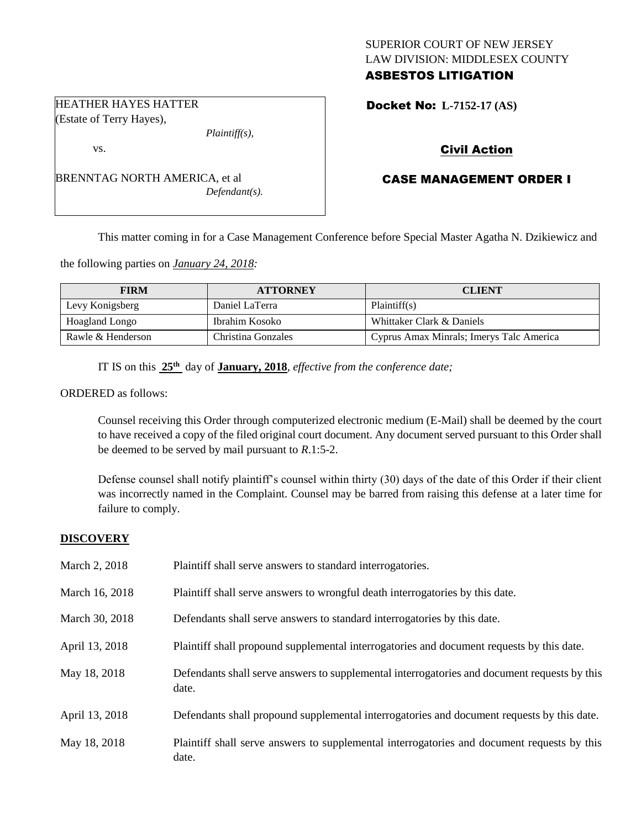## SUPERIOR COURT OF NEW JERSEY LAW DIVISION: MIDDLESEX COUNTY ASBESTOS LITIGATION

Docket No: **L-7152-17 (AS)** 

# Civil Action

# CASE MANAGEMENT ORDER I

This matter coming in for a Case Management Conference before Special Master Agatha N. Dzikiewicz and

the following parties on *January 24, 2018:*

BRENNTAG NORTH AMERICA, et al

HEATHER HAYES HATTER

(Estate of Terry Hayes),

vs.

| <b>FIRM</b>       | <b>ATTORNEY</b>    | <b>CLIENT</b>                            |
|-------------------|--------------------|------------------------------------------|
| Levy Konigsberg   | Daniel LaTerra     | Plaintiff(s)                             |
| Hoagland Longo    | Ibrahim Kosoko     | Whittaker Clark & Daniels                |
| Rawle & Henderson | Christina Gonzales | Cyprus Amax Minrals; Imerys Talc America |

IT IS on this **25th** day of **January, 2018**, *effective from the conference date;*

*Plaintiff(s),*

*Defendant(s).*

ORDERED as follows:

Counsel receiving this Order through computerized electronic medium (E-Mail) shall be deemed by the court to have received a copy of the filed original court document. Any document served pursuant to this Order shall be deemed to be served by mail pursuant to *R*.1:5-2.

Defense counsel shall notify plaintiff's counsel within thirty (30) days of the date of this Order if their client was incorrectly named in the Complaint. Counsel may be barred from raising this defense at a later time for failure to comply.

## **DISCOVERY**

| March 2, 2018  | Plaintiff shall serve answers to standard interrogatories.                                            |
|----------------|-------------------------------------------------------------------------------------------------------|
| March 16, 2018 | Plaintiff shall serve answers to wrongful death interrogatories by this date.                         |
| March 30, 2018 | Defendants shall serve answers to standard interrogatories by this date.                              |
| April 13, 2018 | Plaintiff shall propound supplemental interrogatories and document requests by this date.             |
| May 18, 2018   | Defendants shall serve answers to supplemental interrogatories and document requests by this<br>date. |
| April 13, 2018 | Defendants shall propound supplemental interrogatories and document requests by this date.            |
| May 18, 2018   | Plaintiff shall serve answers to supplemental interrogatories and document requests by this<br>date.  |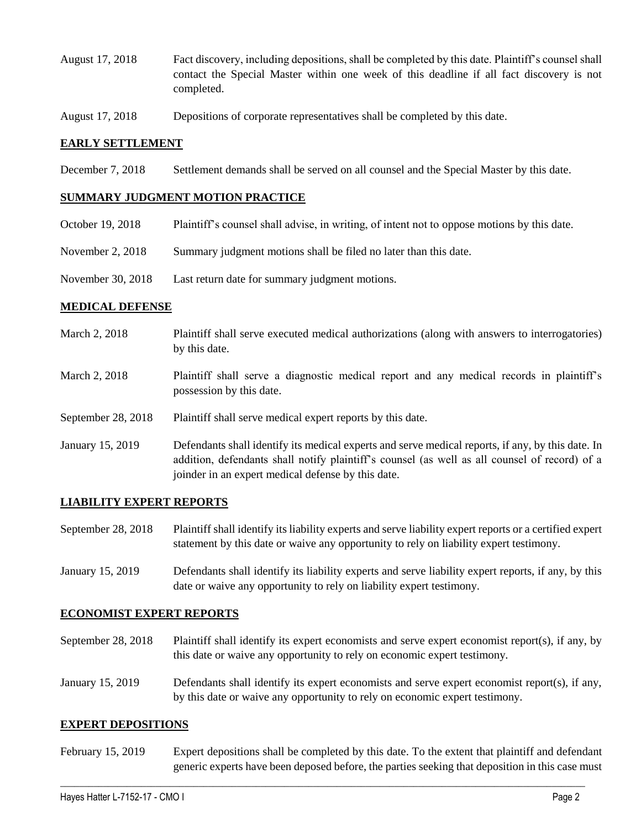- August 17, 2018 Fact discovery, including depositions, shall be completed by this date. Plaintiff's counsel shall contact the Special Master within one week of this deadline if all fact discovery is not completed.
- August 17, 2018 Depositions of corporate representatives shall be completed by this date.

## **EARLY SETTLEMENT**

December 7, 2018 Settlement demands shall be served on all counsel and the Special Master by this date.

### **SUMMARY JUDGMENT MOTION PRACTICE**

- October 19, 2018 Plaintiff's counsel shall advise, in writing, of intent not to oppose motions by this date.
- November 2, 2018 Summary judgment motions shall be filed no later than this date.
- November 30, 2018 Last return date for summary judgment motions.

### **MEDICAL DEFENSE**

- March 2, 2018 Plaintiff shall serve executed medical authorizations (along with answers to interrogatories) by this date.
- March 2, 2018 Plaintiff shall serve a diagnostic medical report and any medical records in plaintiff's possession by this date.
- September 28, 2018 Plaintiff shall serve medical expert reports by this date.
- January 15, 2019 Defendants shall identify its medical experts and serve medical reports, if any, by this date. In addition, defendants shall notify plaintiff's counsel (as well as all counsel of record) of a joinder in an expert medical defense by this date.

#### **LIABILITY EXPERT REPORTS**

- September 28, 2018 Plaintiff shall identify its liability experts and serve liability expert reports or a certified expert statement by this date or waive any opportunity to rely on liability expert testimony.
- January 15, 2019 Defendants shall identify its liability experts and serve liability expert reports, if any, by this date or waive any opportunity to rely on liability expert testimony.

#### **ECONOMIST EXPERT REPORTS**

- September 28, 2018 Plaintiff shall identify its expert economists and serve expert economist report(s), if any, by this date or waive any opportunity to rely on economic expert testimony.
- January 15, 2019 Defendants shall identify its expert economists and serve expert economist report(s), if any, by this date or waive any opportunity to rely on economic expert testimony.

#### **EXPERT DEPOSITIONS**

February 15, 2019 Expert depositions shall be completed by this date. To the extent that plaintiff and defendant generic experts have been deposed before, the parties seeking that deposition in this case must

 $\_$  ,  $\_$  ,  $\_$  ,  $\_$  ,  $\_$  ,  $\_$  ,  $\_$  ,  $\_$  ,  $\_$  ,  $\_$  ,  $\_$  ,  $\_$  ,  $\_$  ,  $\_$  ,  $\_$  ,  $\_$  ,  $\_$  ,  $\_$  ,  $\_$  ,  $\_$  ,  $\_$  ,  $\_$  ,  $\_$  ,  $\_$  ,  $\_$  ,  $\_$  ,  $\_$  ,  $\_$  ,  $\_$  ,  $\_$  ,  $\_$  ,  $\_$  ,  $\_$  ,  $\_$  ,  $\_$  ,  $\_$  ,  $\_$  ,